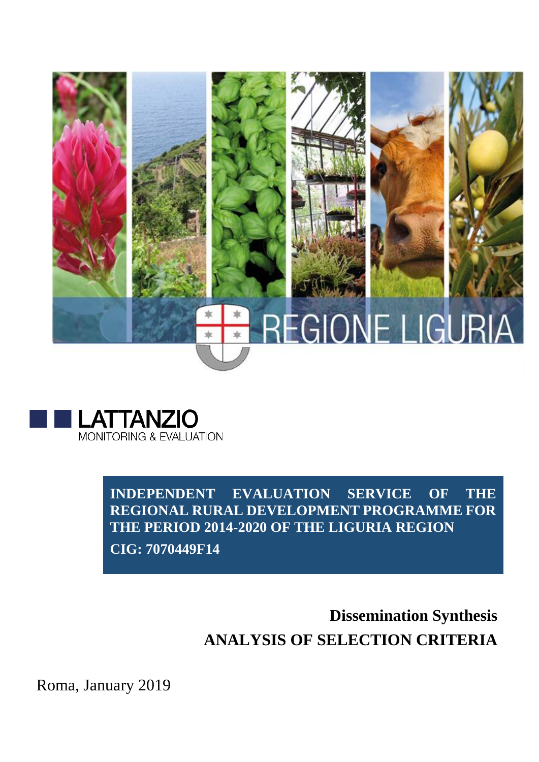



**INDEPENDENT EVALUATION SERVICE OF THE REGIONAL RURAL DEVELOPMENT PROGRAMME FOR THE PERIOD 2014-2020 OF THE LIGURIA REGION** 

**CIG: 7070449F14**

# **Dissemination Synthesis ANALYSIS OF SELECTION CRITERIA**

Roma, January 2019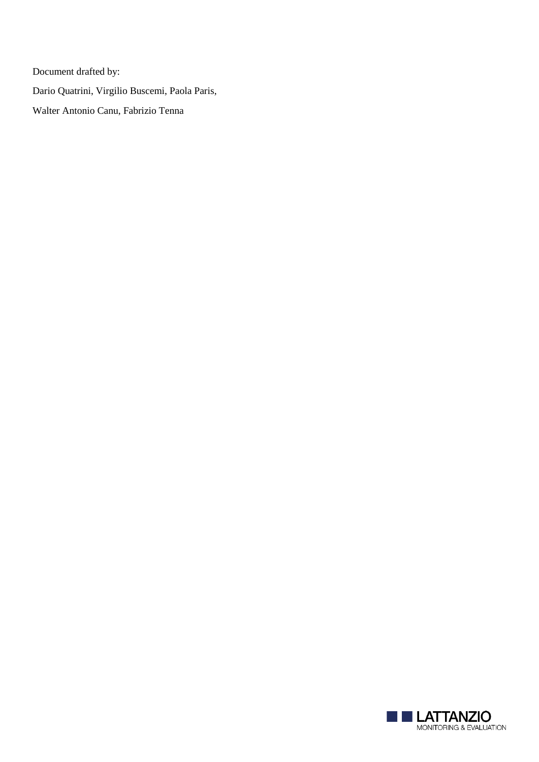Document drafted by: Dario Quatrini, Virgilio Buscemi, Paola Paris, Walter Antonio Canu, Fabrizio Tenna

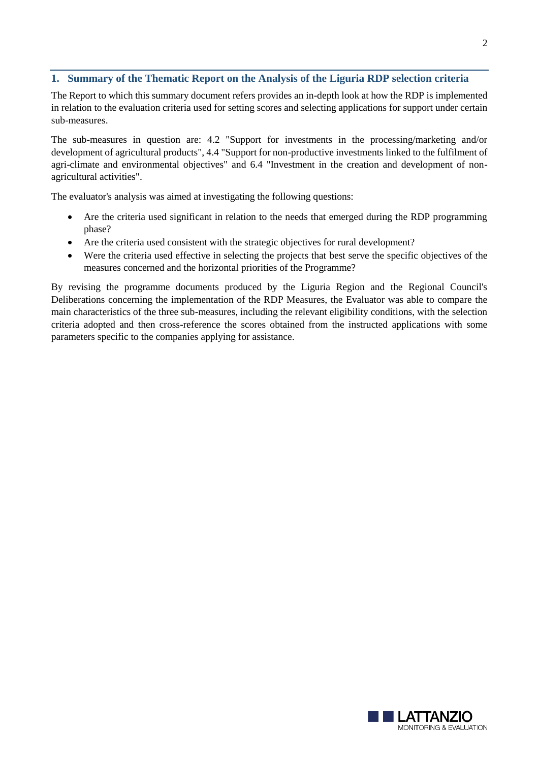# **1. Summary of the Thematic Report on the Analysis of the Liguria RDP selection criteria**

The Report to which this summary document refers provides an in-depth look at how the RDP is implemented in relation to the evaluation criteria used for setting scores and selecting applications for support under certain sub-measures.

The sub-measures in question are: 4.2 "Support for investments in the processing/marketing and/or development of agricultural products", 4.4 "Support for non-productive investments linked to the fulfilment of agri-climate and environmental objectives" and 6.4 "Investment in the creation and development of nonagricultural activities".

The evaluator's analysis was aimed at investigating the following questions:

- Are the criteria used significant in relation to the needs that emerged during the RDP programming phase?
- Are the criteria used consistent with the strategic objectives for rural development?
- Were the criteria used effective in selecting the projects that best serve the specific objectives of the measures concerned and the horizontal priorities of the Programme?

By revising the programme documents produced by the Liguria Region and the Regional Council's Deliberations concerning the implementation of the RDP Measures, the Evaluator was able to compare the main characteristics of the three sub-measures, including the relevant eligibility conditions, with the selection criteria adopted and then cross-reference the scores obtained from the instructed applications with some parameters specific to the companies applying for assistance.

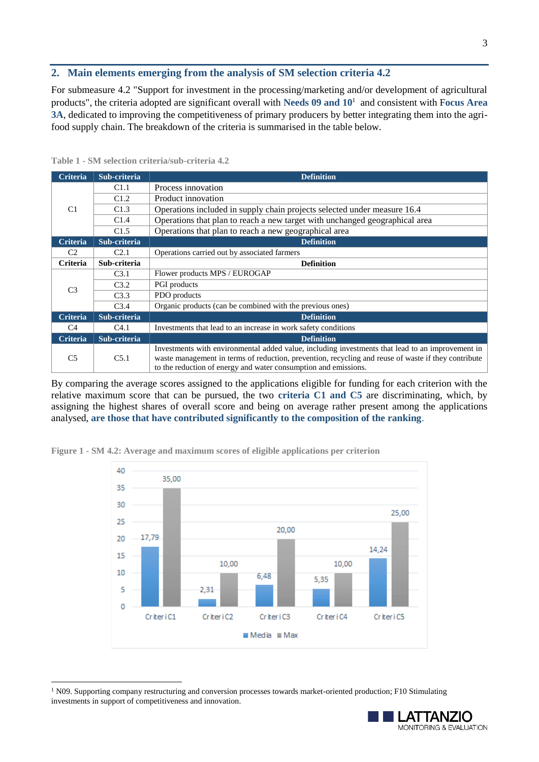## **2. Main elements emerging from the analysis of SM selection criteria 4.2**

For submeasure 4.2 "Support for investment in the processing/marketing and/or development of agricultural products", the criteria adopted are significant overall with **Needs 09 and 10**<sup>1</sup> and consistent with F**ocus Area 3A**, dedicated to improving the competitiveness of primary producers by better integrating them into the agrifood supply chain. The breakdown of the criteria is summarised in the table below.

| <b>Criteria</b> | Sub-criteria     | <b>Definition</b>                                                                                                                                                                                                                                                          |
|-----------------|------------------|----------------------------------------------------------------------------------------------------------------------------------------------------------------------------------------------------------------------------------------------------------------------------|
| C <sub>1</sub>  | C1.1             | Process innovation                                                                                                                                                                                                                                                         |
|                 | C1.2             | Product innovation                                                                                                                                                                                                                                                         |
|                 | C1.3             | Operations included in supply chain projects selected under measure 16.4                                                                                                                                                                                                   |
|                 | C1.4             | Operations that plan to reach a new target with unchanged geographical area                                                                                                                                                                                                |
|                 | C1.5             | Operations that plan to reach a new geographical area                                                                                                                                                                                                                      |
| <b>Criteria</b> | Sub-criteria     | <b>Definition</b>                                                                                                                                                                                                                                                          |
| C <sub>2</sub>  | C <sub>2.1</sub> | Operations carried out by associated farmers                                                                                                                                                                                                                               |
| Criteria        | Sub-criteria     | <b>Definition</b>                                                                                                                                                                                                                                                          |
| C <sub>3</sub>  | C <sub>3.1</sub> | Flower products MPS / EUROGAP                                                                                                                                                                                                                                              |
|                 | C3.2             | PGI products                                                                                                                                                                                                                                                               |
|                 | C3.3             | PDO products                                                                                                                                                                                                                                                               |
|                 | C <sub>3.4</sub> | Organic products (can be combined with the previous ones)                                                                                                                                                                                                                  |
| <b>Criteria</b> | Sub-criteria     | <b>Definition</b>                                                                                                                                                                                                                                                          |
| C4              | C4.1             | Investments that lead to an increase in work safety conditions                                                                                                                                                                                                             |
| Criteria        | Sub-criteria     | <b>Definition</b>                                                                                                                                                                                                                                                          |
| C <sub>5</sub>  | C5.1             | Investments with environmental added value, including investments that lead to an improvement in<br>waste management in terms of reduction, prevention, recycling and reuse of waste if they contribute<br>to the reduction of energy and water consumption and emissions. |

**Table 1 - SM selection criteria/sub-criteria 4.2**

-

By comparing the average scores assigned to the applications eligible for funding for each criterion with the relative maximum score that can be pursued, the two **criteria C1 and C5** are discriminating, which, by assigning the highest shares of overall score and being on average rather present among the applications analysed, **are those that have contributed significantly to the composition of the ranking**.



**Figure 1 - SM 4.2: Average and maximum scores of eligible applications per criterion** 



<sup>&</sup>lt;sup>1</sup> N09. Supporting company restructuring and conversion processes towards market-oriented production; F10 Stimulating investments in support of competitiveness and innovation.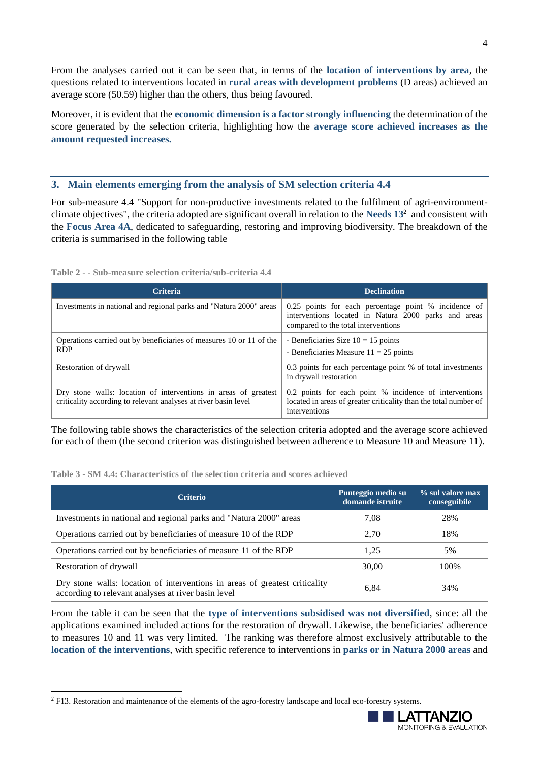From the analyses carried out it can be seen that, in terms of the **location of interventions by area**, the questions related to interventions located in **rural areas with development problems** (D areas) achieved an average score (50.59) higher than the others, thus being favoured.

Moreover, it is evident that the **economic dimension is a factor strongly influencing** the determination of the score generated by the selection criteria, highlighting how the **average score achieved increases as the amount requested increases.**

## **3. Main elements emerging from the analysis of SM selection criteria 4.4**

For sub-measure 4.4 "Support for non-productive investments related to the fulfilment of agri-environmentclimate objectives", the criteria adopted are significant overall in relation to the **Needs 13**<sup>2</sup> and consistent with the **Focus Area 4A**, dedicated to safeguarding, restoring and improving biodiversity. The breakdown of the criteria is summarised in the following table

| <b>Criteria</b>                                                                                                                    | <b>Declination</b>                                                                                                                                  |  |
|------------------------------------------------------------------------------------------------------------------------------------|-----------------------------------------------------------------------------------------------------------------------------------------------------|--|
| Investments in national and regional parks and "Natura 2000" areas                                                                 | 0.25 points for each percentage point % incidence of<br>interventions located in Natura 2000 parks and areas<br>compared to the total interventions |  |
| Operations carried out by beneficiaries of measures 10 or 11 of the<br><b>RDP</b>                                                  | - Beneficiaries Size $10 = 15$ points<br>- Beneficiaries Measure $11 = 25$ points                                                                   |  |
| Restoration of drywall                                                                                                             | 0.3 points for each percentage point % of total investments<br>in drywall restoration                                                               |  |
| Dry stone walls: location of interventions in areas of greatest<br>criticality according to relevant analyses at river basin level | 0.2 points for each point % incidence of interventions<br>located in areas of greater criticality than the total number of<br>interventions         |  |

**Table 2 - - Sub-measure selection criteria/sub-criteria 4.4**

The following table shows the characteristics of the selection criteria adopted and the average score achieved for each of them (the second criterion was distinguished between adherence to Measure 10 and Measure 11).

**Table 3 - SM 4.4: Characteristics of the selection criteria and scores achieved**

| <b>Criterio</b>                                                                                                                    | Punteggio medio su<br>domande istruite | % sul valore max<br>conseguibile |
|------------------------------------------------------------------------------------------------------------------------------------|----------------------------------------|----------------------------------|
| Investments in national and regional parks and "Natura 2000" areas                                                                 | 7.08                                   | 28%                              |
| Operations carried out by beneficiaries of measure 10 of the RDP                                                                   | 2.70                                   | 18%                              |
| Operations carried out by beneficiaries of measure 11 of the RDP                                                                   | 1.25                                   | 5%                               |
| Restoration of drywall                                                                                                             | 30.00                                  | 100%                             |
| Dry stone walls: location of interventions in areas of greatest criticality<br>according to relevant analyses at river basin level | 6,84                                   | 34%                              |

From the table it can be seen that the **type of interventions subsidised was not diversified**, since: all the applications examined included actions for the restoration of drywall. Likewise, the beneficiaries' adherence to measures 10 and 11 was very limited. The ranking was therefore almost exclusively attributable to the **location of the interventions**, with specific reference to interventions in **parks or in Natura 2000 areas** and

1



<sup>&</sup>lt;sup>2</sup> F13. Restoration and maintenance of the elements of the agro-forestry landscape and local eco-forestry systems.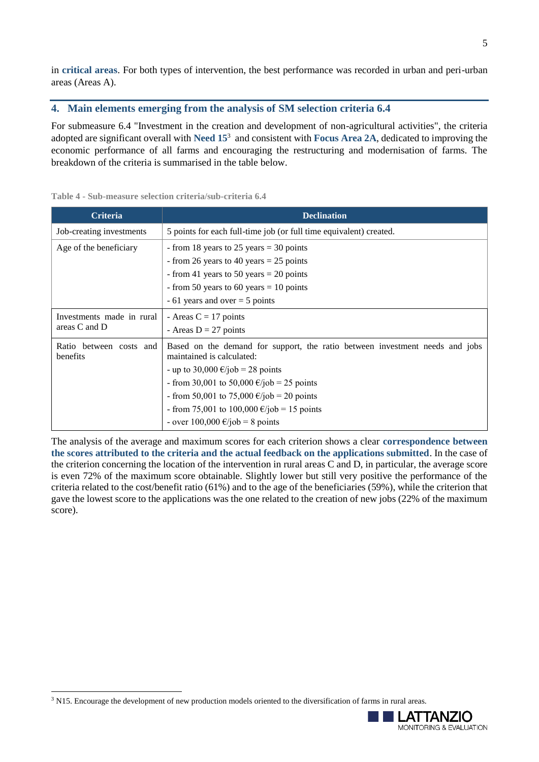in **critical areas**. For both types of intervention, the best performance was recorded in urban and peri-urban areas (Areas A).

# **4. Main elements emerging from the analysis of SM selection criteria 6.4**

For submeasure 6.4 "Investment in the creation and development of non-agricultural activities", the criteria adopted are significant overall with **Need 15**<sup>3</sup> and consistent with **Focus Area 2A**, dedicated to improving the economic performance of all farms and encouraging the restructuring and modernisation of farms. The breakdown of the criteria is summarised in the table below.

| <b>Criteria</b>                            | <b>Declination</b>                                                                                                                                                                                                                                                                                                                                                                |
|--------------------------------------------|-----------------------------------------------------------------------------------------------------------------------------------------------------------------------------------------------------------------------------------------------------------------------------------------------------------------------------------------------------------------------------------|
| Job-creating investments                   | 5 points for each full-time job (or full time equivalent) created.                                                                                                                                                                                                                                                                                                                |
| Age of the beneficiary                     | - from 18 years to 25 years = 30 points<br>- from 26 years to 40 years = 25 points<br>- from 41 years to 50 years $= 20$ points<br>- from 50 years to 60 years = 10 points<br>$-61$ years and over $= 5$ points                                                                                                                                                                   |
| Investments made in rural<br>areas C and D | - Areas $C = 17$ points<br>- Areas $D = 27$ points                                                                                                                                                                                                                                                                                                                                |
| Ratio between costs and<br>benefits        | Based on the demand for support, the ratio between investment needs and jobs<br>maintained is calculated:<br>- up to 30,000 $\epsilon$ /job = 28 points<br>- from 30,001 to 50,000 $\epsilon$ /job = 25 points<br>- from 50,001 to 75,000 $\epsilon$ /job = 20 points<br>- from 75,001 to 100,000 $\epsilon$ /job = 15 points<br>- over $100,000 \text{ } \infty$ /job = 8 points |

**Table 4 - Sub-measure selection criteria/sub-criteria 6.4**

The analysis of the average and maximum scores for each criterion shows a clear **correspondence between the scores attributed to the criteria and the actual feedback on the applications submitted**. In the case of the criterion concerning the location of the intervention in rural areas C and D, in particular, the average score is even 72% of the maximum score obtainable. Slightly lower but still very positive the performance of the criteria related to the cost/benefit ratio (61%) and to the age of the beneficiaries (59%), while the criterion that gave the lowest score to the applications was the one related to the creation of new jobs (22% of the maximum score).

1



<sup>&</sup>lt;sup>3</sup> N15. Encourage the development of new production models oriented to the diversification of farms in rural areas.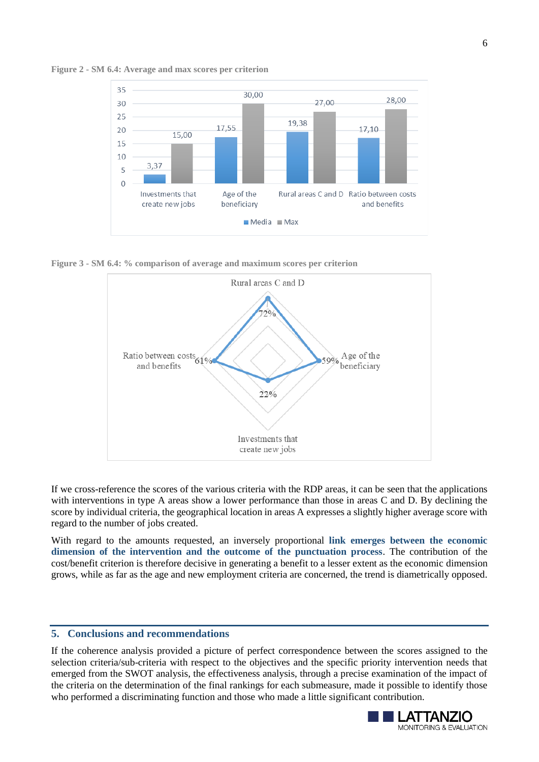



**Figure 3 - SM 6.4: % comparison of average and maximum scores per criterion**



If we cross-reference the scores of the various criteria with the RDP areas, it can be seen that the applications with interventions in type A areas show a lower performance than those in areas C and D. By declining the score by individual criteria, the geographical location in areas A expresses a slightly higher average score with regard to the number of jobs created.

With regard to the amounts requested, an inversely proportional **link emerges between the economic dimension of the intervention and the outcome of the punctuation process**. The contribution of the cost/benefit criterion is therefore decisive in generating a benefit to a lesser extent as the economic dimension grows, while as far as the age and new employment criteria are concerned, the trend is diametrically opposed.

### **5. Conclusions and recommendations**

If the coherence analysis provided a picture of perfect correspondence between the scores assigned to the selection criteria/sub-criteria with respect to the objectives and the specific priority intervention needs that emerged from the SWOT analysis, the effectiveness analysis, through a precise examination of the impact of the criteria on the determination of the final rankings for each submeasure, made it possible to identify those who performed a discriminating function and those who made a little significant contribution.

6